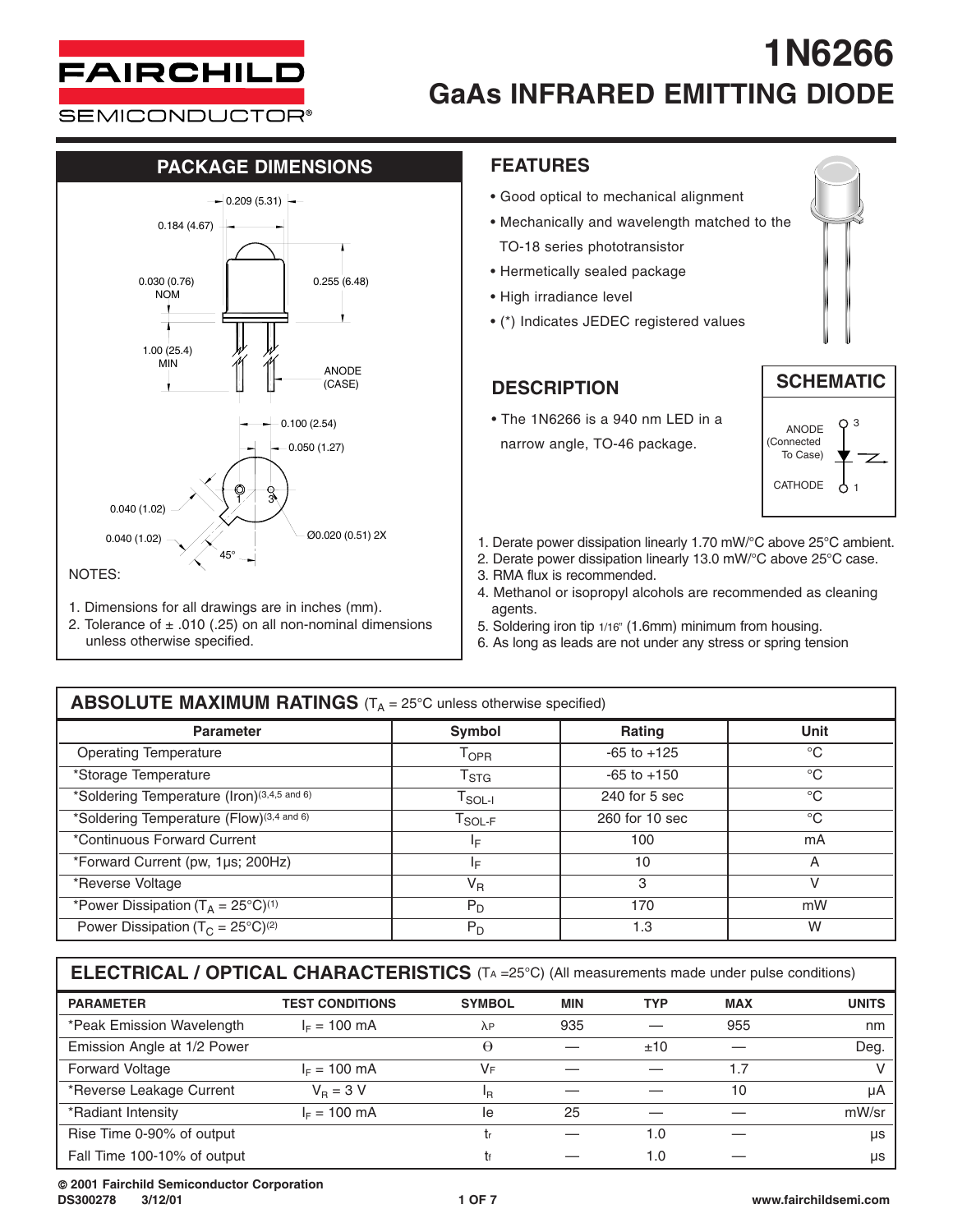

**SEMICONDUCTOR®** 

#### **PACKAGE DIMENSIONS FEATURES**



- 1. Dimensions for all drawings are in inches (mm).
- 2. Tolerance of  $\pm$  .010 (.25) on all non-nominal dimensions unless otherwise specified.

- Good optical to mechanical alignment
- Mechanically and wavelength matched to the TO-18 series phototransistor
- Hermetically sealed package
- High irradiance level
- (\*) Indicates JEDEC registered values

### **DESCRIPTION**

• The 1N6266 is a 940 nm LED in a narrow angle, TO-46 package.





- Ø0.020 (0.51) 2X 1. Derate power dissipation linearly 1.70 mW/°C above 25°C ambient.
	- 2. Derate power dissipation linearly 13.0 mW/°C above 25°C case.
	- 3. RMA flux is recommended.
	- 4. Methanol or isopropyl alcohols are recommended as cleaning agents.
	- 5. Soldering iron tip 1/16" (1.6mm) minimum from housing.
	- 6. As long as leads are not under any stress or spring tension

| <b>ABSOLUTE MAXIMUM RATINGS</b> ( $T_A = 25^{\circ}$ C unless otherwise specified) |                                               |                 |             |  |  |  |  |
|------------------------------------------------------------------------------------|-----------------------------------------------|-----------------|-------------|--|--|--|--|
| <b>Parameter</b>                                                                   | <b>Symbol</b>                                 | <b>Rating</b>   | Unit        |  |  |  |  |
| <b>Operating Temperature</b>                                                       | T <sub>OPR</sub>                              | $-65$ to $+125$ | $^{\circ}C$ |  |  |  |  |
| *Storage Temperature                                                               | $T_{\text{STG}}$                              | $-65$ to $+150$ | $^{\circ}C$ |  |  |  |  |
| *Soldering Temperature (Iron)(3,4,5 and 6)                                         | $\mathsf{T}_{\mathsf{SOL-I}}$                 | $240$ for 5 sec | $^{\circ}C$ |  |  |  |  |
| *Soldering Temperature (Flow)(3,4 and 6)                                           | $\mathsf{T}_{\mathsf{SOL}\text{-}\mathsf{F}}$ | 260 for 10 sec  | $^{\circ}C$ |  |  |  |  |
| *Continuous Forward Current                                                        | ΙF                                            | 100             | mA          |  |  |  |  |
| *Forward Current (pw, 1µs; 200Hz)                                                  | ΙF                                            | 10              | A           |  |  |  |  |
| *Reverse Voltage                                                                   | $V_{R}$                                       | 3               | v           |  |  |  |  |
| *Power Dissipation ( $T_A = 25^{\circ}C$ ) <sup>(1)</sup>                          | $P_D$                                         | 170             | mW          |  |  |  |  |
| Power Dissipation ( $T_c = 25^{\circ}C^{(2)}$                                      | $P_D$                                         | 1.3             | W           |  |  |  |  |

**ELECTRICAL / OPTICAL CHARACTERISTICS** (TA =25°C) (All measurements made under pulse conditions)

| <b>PARAMETER</b>            | <b>TEST CONDITIONS</b> | <b>SYMBOL</b> | <b>MIN</b> | <b>TYP</b> | <b>MAX</b> | <b>UNITS</b> |
|-----------------------------|------------------------|---------------|------------|------------|------------|--------------|
| *Peak Emission Wavelength   | $I_F = 100 \text{ mA}$ | $\lambda$ P   | 935        |            | 955        | nm           |
| Emission Angle at 1/2 Power |                        | θ             |            | ±10        |            | Deg.         |
| <b>Forward Voltage</b>      | $I_c = 100$ mA         | VF            |            |            | 1.7        |              |
| *Reverse Leakage Current    | $V_{\rm B} = 3 V$      | ΙŖ            |            |            | 10         | uA           |
| *Radiant Intensity          | $I_F = 100 \text{ mA}$ | le            | 25         |            |            | mW/sr        |
| Rise Time 0-90% of output   |                        |               |            | 1.0        |            | <b>US</b>    |
| Fall Time 100-10% of output |                        |               |            | 1.0        |            | us           |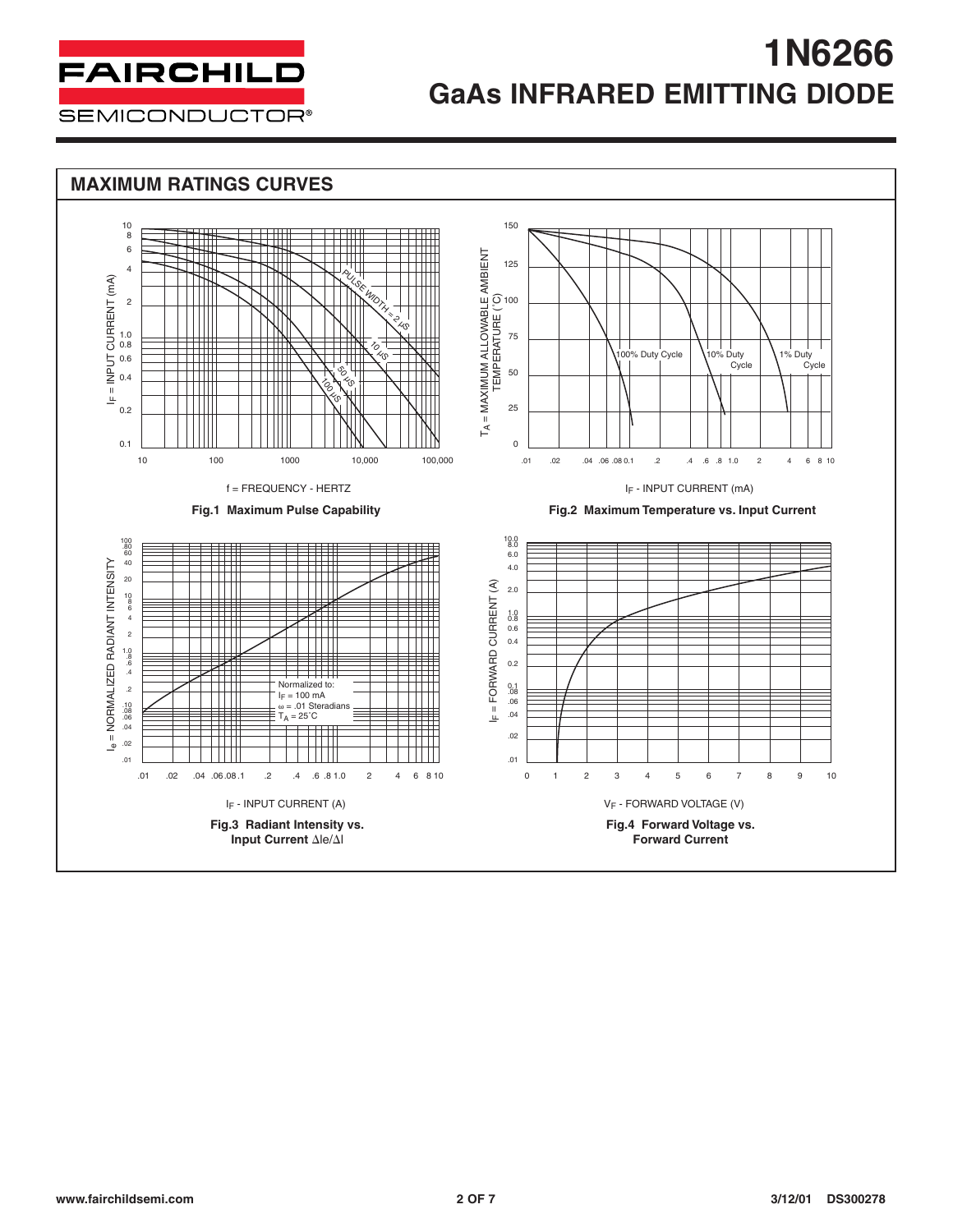

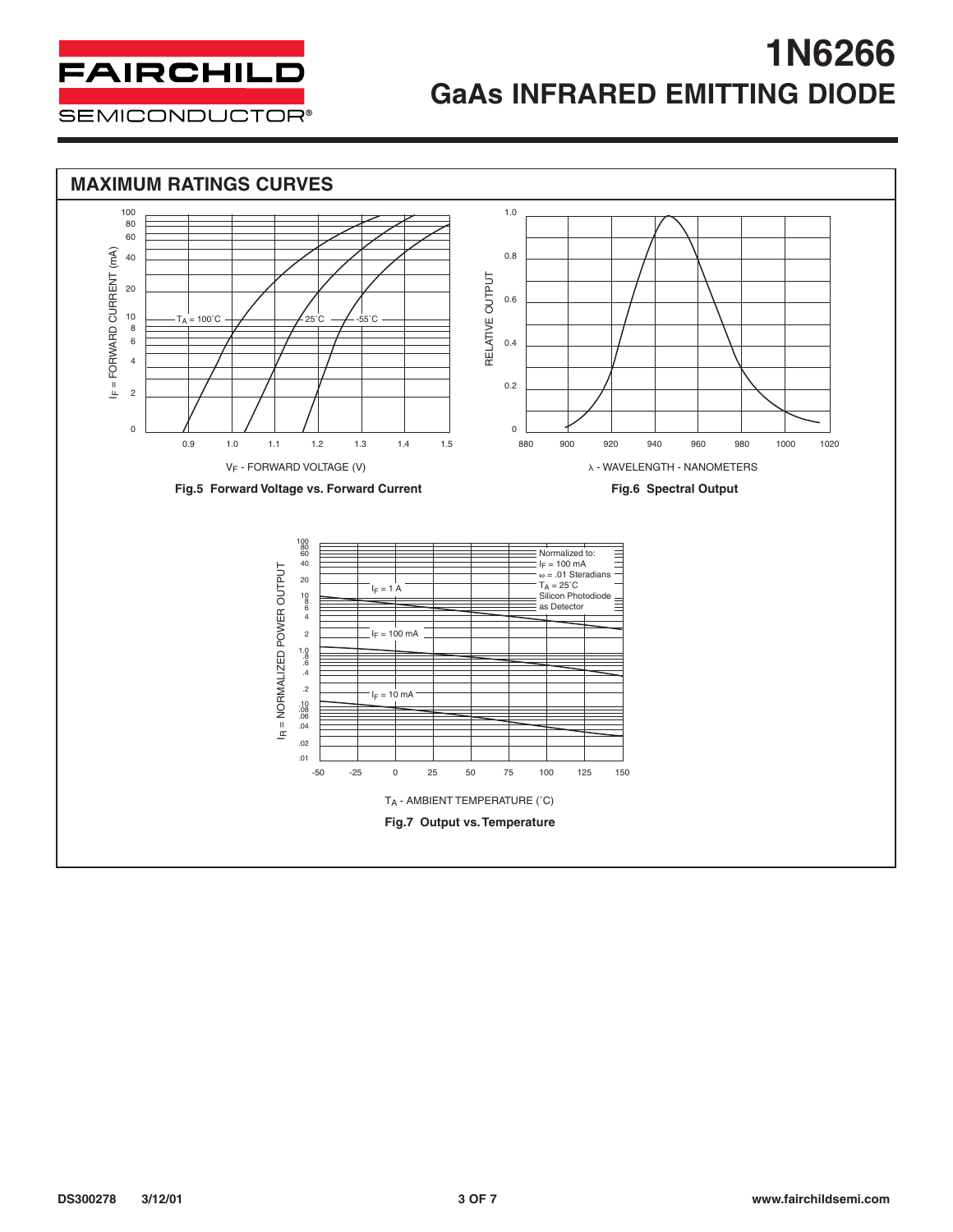

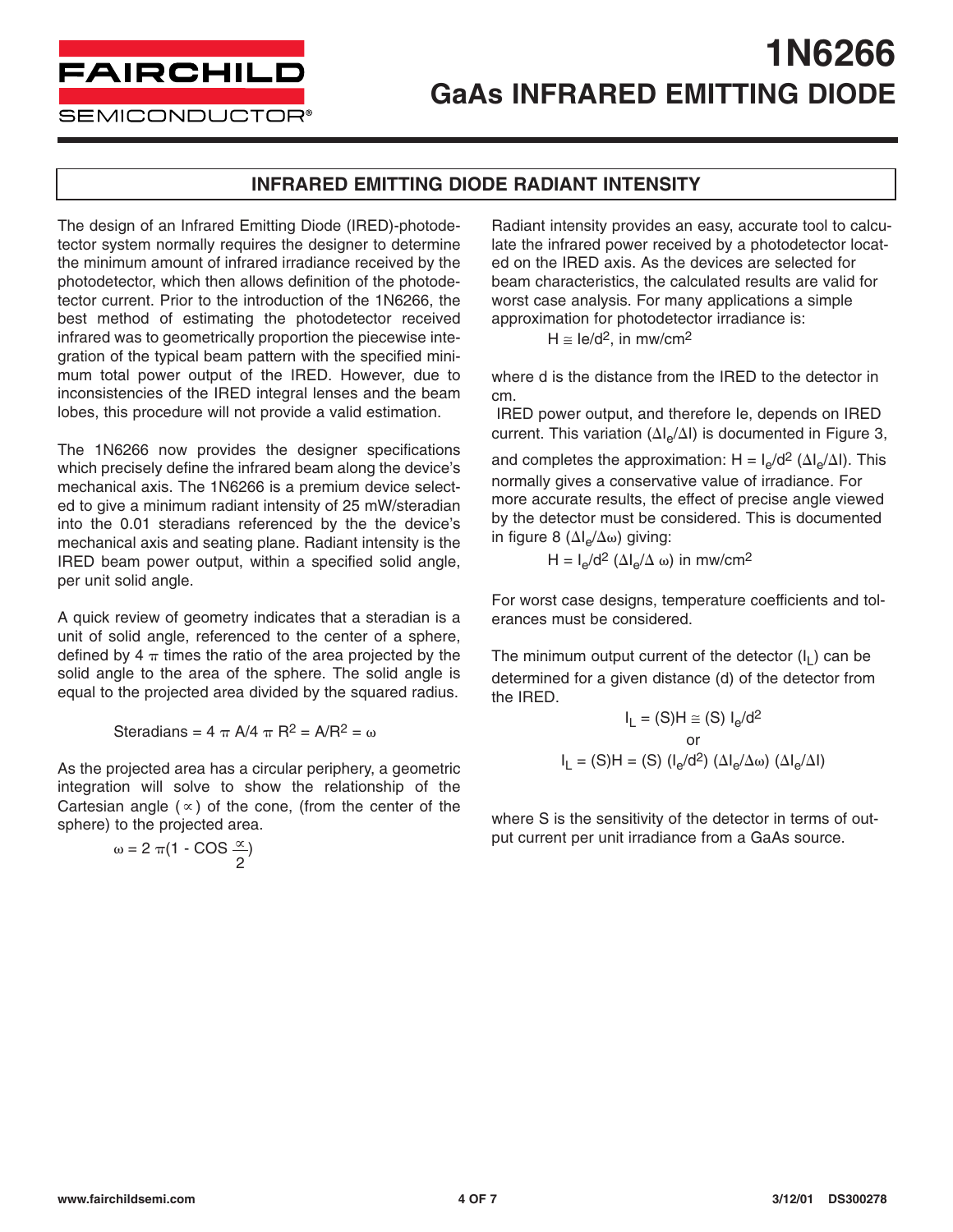**FAIRCHILD** 

**SEMICONDUCTOR®** 

#### **INFRARED EMITTING DIODE RADIANT INTENSITY**

The design of an Infrared Emitting Diode (IRED)-photodetector system normally requires the designer to determine the minimum amount of infrared irradiance received by the photodetector, which then allows definition of the photodetector current. Prior to the introduction of the 1N6266, the best method of estimating the photodetector received infrared was to geometrically proportion the piecewise integration of the typical beam pattern with the specified minimum total power output of the IRED. However, due to inconsistencies of the IRED integral lenses and the beam lobes, this procedure will not provide a valid estimation.

The 1N6266 now provides the designer specifications which precisely define the infrared beam along the device's mechanical axis. The 1N6266 is a premium device selected to give a minimum radiant intensity of 25 mW/steradian into the 0.01 steradians referenced by the the device's mechanical axis and seating plane. Radiant intensity is the IRED beam power output, within a specified solid angle, per unit solid angle.

A quick review of geometry indicates that a steradian is a unit of solid angle, referenced to the center of a sphere, defined by 4  $\pi$  times the ratio of the area projected by the solid angle to the area of the sphere. The solid angle is equal to the projected area divided by the squared radius.

Steradians =  $4 \pi A/4 \pi R^2 = A/R^2 = \omega$ 

As the projected area has a circular periphery, a geometric integration will solve to show the relationship of the Cartesian angle  $(\infty)$  of the cone, (from the center of the sphere) to the projected area.

> $\omega = 2 \pi (1 - COS \frac{\alpha}{})$ 2

Radiant intensity provides an easy, accurate tool to calculate the infrared power received by a photodetector located on the IRED axis. As the devices are selected for beam characteristics, the calculated results are valid for worst case analysis. For many applications a simple approximation for photodetector irradiance is:

 $H \cong Ie/d^2$ , in mw/cm<sup>2</sup>

where d is the distance from the IRED to the detector in cm.

IRED power output, and therefore Ie, depends on IRED current. This variation  $(\Delta I_e/\Delta I)$  is documented in Figure 3,

and completes the approximation: H =  $I_e/d^2$  ( $\Delta I_e/\Delta I$ ). This normally gives a conservative value of irradiance. For more accurate results, the effect of precise angle viewed by the detector must be considered. This is documented in figure 8 ( $\Delta I_e/\Delta \omega$ ) giving:

$$
H = I_e/d^2 (\Delta I_e/\Delta \omega) \text{ in } m\text{w/cm}^2
$$

For worst case designs, temperature coefficients and tolerances must be considered.

The minimum output current of the detector  $(I<sub>L</sub>)$  can be determined for a given distance (d) of the detector from the IRED.

$$
I_{L} = (S)H \cong (S) I_{e}/d^{2}
$$
  
or  

$$
I_{L} = (S)H = (S) (I_{e}/d^{2}) (\Delta I_{e}/\Delta \omega) (\Delta I_{e}/\Delta I)
$$

where S is the sensitivity of the detector in terms of output current per unit irradiance from a GaAs source.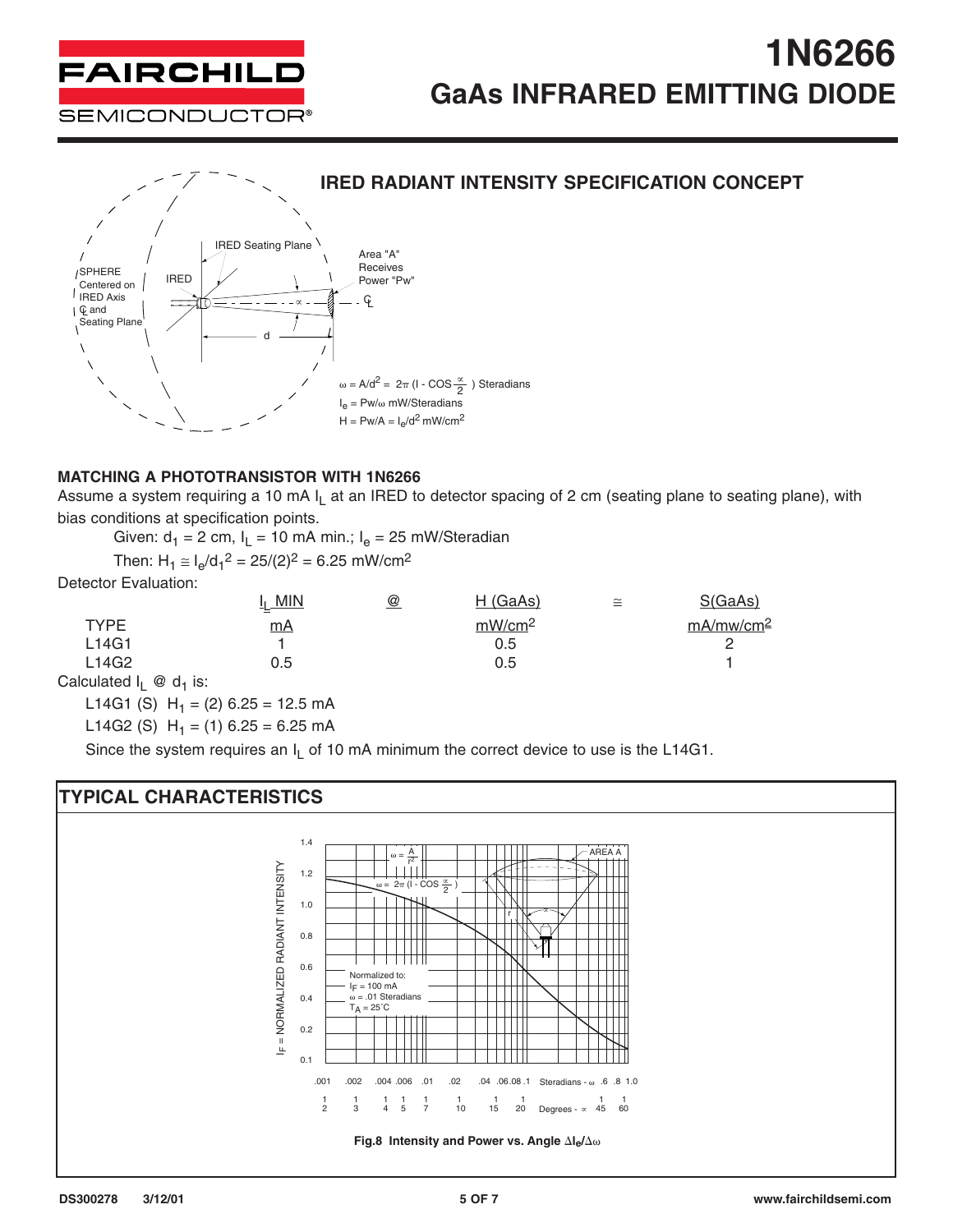



#### **MATCHING A PHOTOTRANSISTOR WITH 1N6266**

Assume a system requiring a 10 mA  $I_1$  at an IRED to detector spacing of 2 cm (seating plane to seating plane), with bias conditions at specification points.

Given:  $d_1 = 2$  cm,  $I_L = 10$  mA min.;  $I_e = 25$  mW/Steradian

Then:  $H_1 \cong I_e/d_1^2 = 25/(2)^2 = 6.25$  mW/cm<sup>2</sup>

Detector Evaluation:

|                                  | $I_1$ MIN | @ | H(GaAs)            | $\tilde{=}$ | S(GaAs)               |
|----------------------------------|-----------|---|--------------------|-------------|-----------------------|
| <b>TYPE</b>                      | mA        |   | mW/cm <sup>2</sup> |             | mA/mw/cm <sup>2</sup> |
| L14G1                            |           |   | 0.5                |             |                       |
| L14G2                            | 0.5       |   | 0.5                |             |                       |
| Calculated $I_1 \otimes d_1$ is: |           |   |                    |             |                       |

L14G1 (S)  $H_1 = (2)$  6.25 = 12.5 mA

L14G2 (S)  $H_1 = (1)$  6.25 = 6.25 mA

Since the system requires an  $I_L$  of 10 mA minimum the correct device to use is the L14G1.

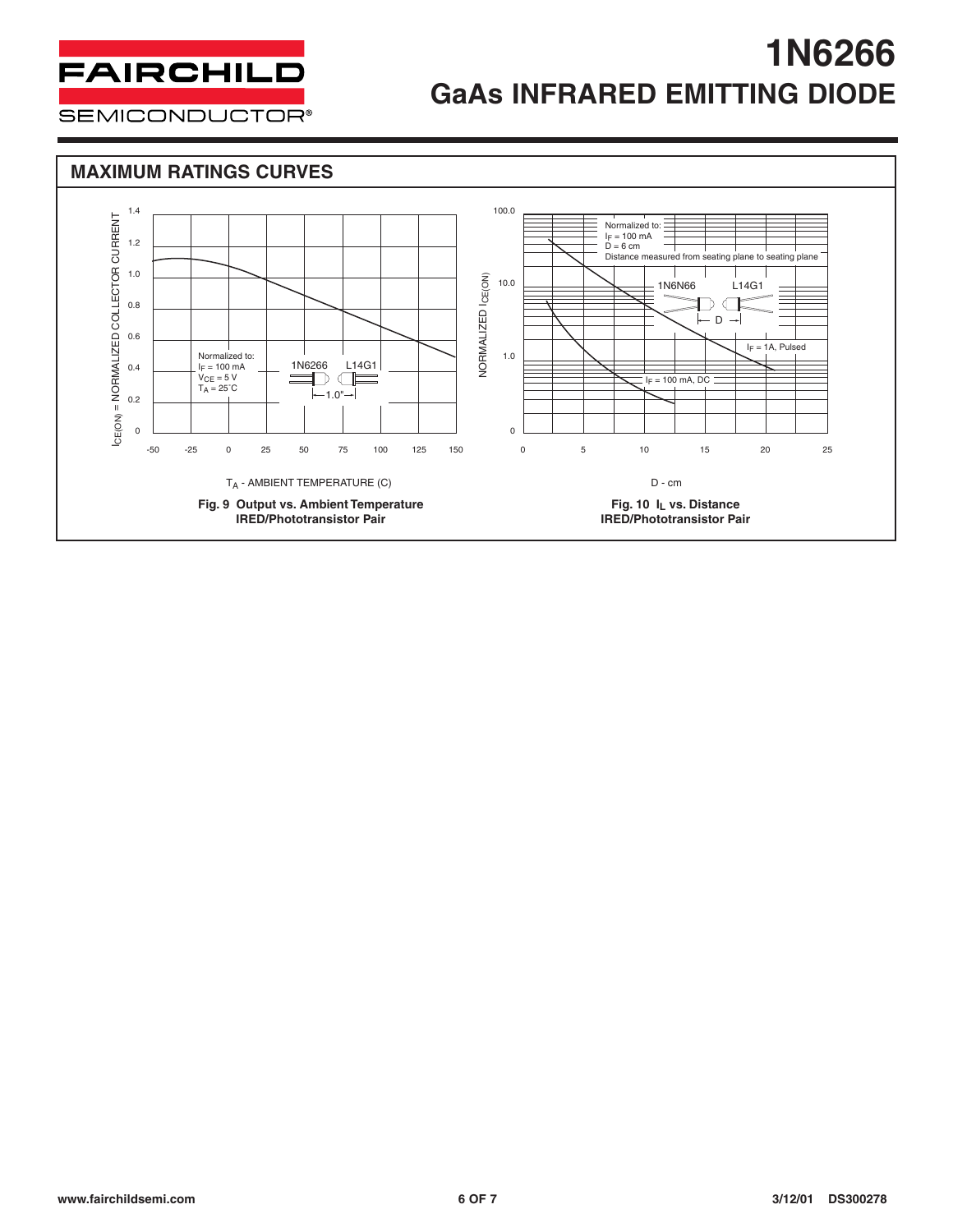

**SEMICONDUCTOR®**